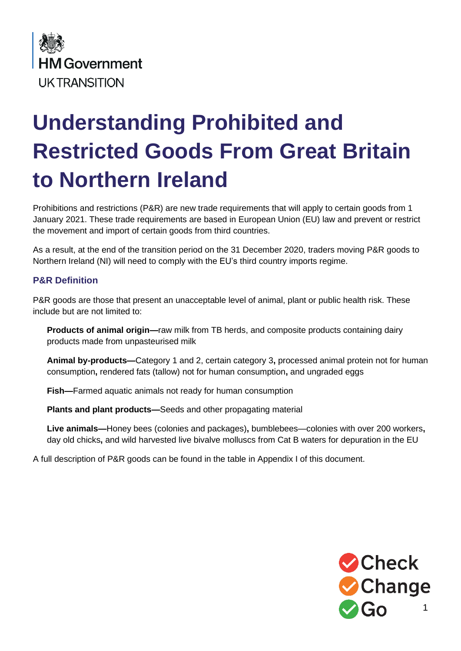

# **Understanding Prohibited and Restricted Goods From Great Britain to Northern Ireland**

Prohibitions and restrictions (P&R) are new trade requirements that will apply to certain goods from 1 January 2021. These trade requirements are based in European Union (EU) law and prevent or restrict the movement and import of certain goods from third countries.

As a result, at the end of the transition period on the 31 December 2020, traders moving P&R goods to Northern Ireland (NI) will need to comply with the EU's third country imports regime.

# **P&R Definition**

P&R goods are those that present an unacceptable level of animal, plant or public health risk. These include but are not limited to:

**Products of animal origin—**raw milk from TB herds, and composite products containing dairy products made from unpasteurised milk

**Animal by-products—**Category 1 and 2, certain category 3**,** processed animal protein not for human consumption**,** rendered fats (tallow) not for human consumption**,** and ungraded eggs

**Fish—**Farmed aquatic animals not ready for human consumption

**Plants and plant products—**Seeds and other propagating material

**Live animals—**Honey bees (colonies and packages)**,** bumblebees—colonies with over 200 workers**,**  day old chicks**,** and wild harvested live bivalve molluscs from Cat B waters for depuration in the EU

A full description of P&R goods can be found in the table in Appendix I of this document.

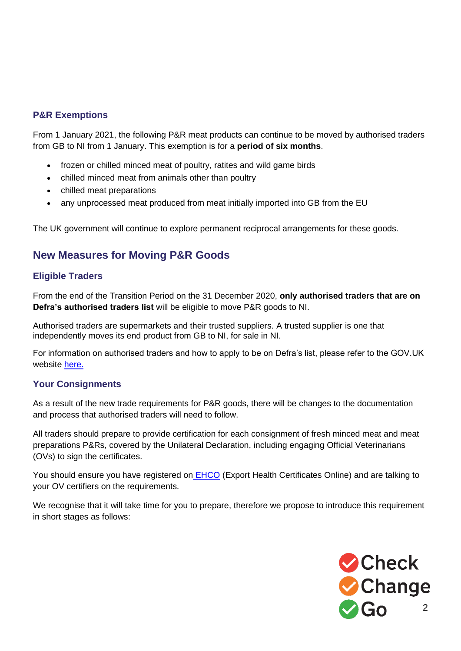# **P&R Exemptions**

From 1 January 2021, the following P&R meat products can continue to be moved by authorised traders from GB to NI from 1 January. This exemption is for a **period of six months**.

- frozen or chilled minced meat of poultry, ratites and wild game birds
- chilled minced meat from animals other than poultry
- chilled meat preparations
- any unprocessed meat produced from meat initially imported into GB from the EU

The UK government will continue to explore permanent reciprocal arrangements for these goods.

# **New Measures for Moving P&R Goods**

# **Eligible Traders**

From the end of the Transition Period on the 31 December 2020, **only authorised traders that are on Defra's authorised traders list** will be eligible to move P&R goods to NI.

Authorised traders are supermarkets and their trusted suppliers. A trusted supplier is one that independently moves its end product from GB to NI, for sale in NI.

For information on authorised traders and how to apply to be on Defra's list, please refer to the GOV.UK website [here.](https://www.gov.uk/guidance/exporting-animals-and-animal-products-to-the-eu-from-1-january-2021)

### **Your Consignments**

As a result of the new trade requirements for P&R goods, there will be changes to the documentation and process that authorised traders will need to follow.

All traders should prepare to provide certification for each consignment of fresh minced meat and meat preparations P&Rs, covered by the Unilateral Declaration, including engaging Official Veterinarians (OVs) to sign the certificates.

You should ensure you have registered on **[EHCO](http://www.gov.uk/guidance/apply-for-an-export-health-certificate)** (Export Health Certificates Online) and are talking to your OV certifiers on the requirements.

We recognise that it will take time for you to prepare, therefore we propose to introduce this requirement in short stages as follows:

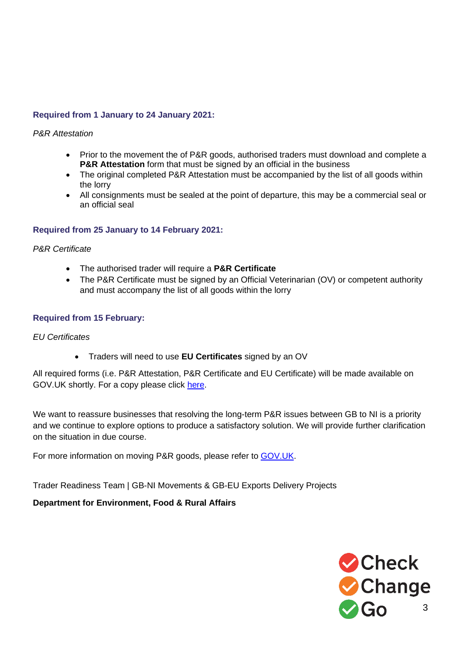# **Required from 1 January to 24 January 2021:**

#### *P&R Attestation*

- Prior to the movement the of P&R goods, authorised traders must download and complete a **P&R Attestation** form that must be signed by an official in the business
- The original completed P&R Attestation must be accompanied by the list of all goods within the lorry
- All consignments must be sealed at the point of departure, this may be a commercial seal or an official seal

### **Required from 25 January to 14 February 2021:**

*P&R Certificate*

- The authorised trader will require a **P&R Certificate**
- The P&R Certificate must be signed by an Official Veterinarian (OV) or competent authority and must accompany the list of all goods within the lorry

#### **Required from 15 February:**

#### *EU Certificates*

• Traders will need to use **EU Certificates** signed by an OV

All required forms (i.e. P&R Attestation, P&R Certificate and EU Certificate) will be made available on GOV.UK shortly. For a copy please click [here.](https://shwca.se/MovingGoodsGBtoNI)

We want to reassure businesses that resolving the long-term P&R issues between GB to NI is a priority and we continue to explore options to produce a satisfactory solution. We will provide further clarification on the situation in due course.

For more information on moving P&R goods, please refer to [GOV.UK.](https://www.gov.uk/guidance/exporting-animals-and-animal-products-to-the-eu-from-1-january-2021#restricted-and-prohibited-goods)

Trader Readiness Team | GB-NI Movements & GB-EU Exports Delivery Projects

### **Department for Environment, Food & Rural Affairs**

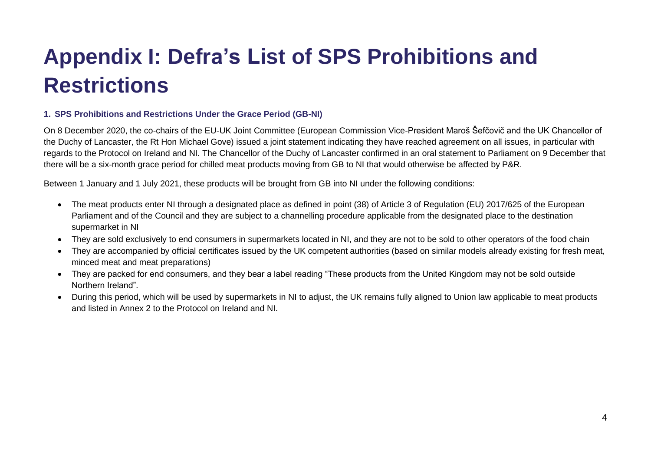# **Appendix I: Defra's List of SPS Prohibitions and Restrictions**

#### **1. SPS Prohibitions and Restrictions Under the Grace Period (GB-NI)**

On 8 December 2020, the co-chairs of the EU-UK Joint Committee (European Commission Vice-President Maroš Šefčovič and the UK Chancellor of the Duchy of Lancaster, the Rt Hon Michael Gove) issued a joint statement indicating they have reached agreement on all issues, in particular with regards to the Protocol on Ireland and NI. The Chancellor of the Duchy of Lancaster confirmed in an oral statement to Parliament on 9 December that there will be a six-month grace period for chilled meat products moving from GB to NI that would otherwise be affected by P&R.

Between 1 January and 1 July 2021, these products will be brought from GB into NI under the following conditions:

- The meat products enter NI through a designated place as defined in point (38) of Article 3 of Regulation (EU) 2017/625 of the European Parliament and of the Council and they are subject to a channelling procedure applicable from the designated place to the destination supermarket in NI
- They are sold exclusively to end consumers in supermarkets located in NI, and they are not to be sold to other operators of the food chain
- They are accompanied by official certificates issued by the UK competent authorities (based on similar models already existing for fresh meat, minced meat and meat preparations)
- They are packed for end consumers, and they bear a label reading "These products from the United Kingdom may not be sold outside Northern Ireland".
- During this period, which will be used by supermarkets in NI to adjust, the UK remains fully aligned to Union law applicable to meat products and listed in Annex 2 to the Protocol on Ireland and NI.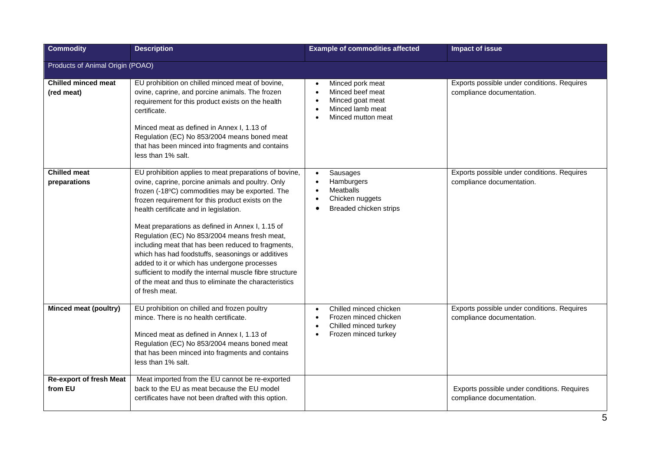| <b>Commodity</b>                          | <b>Description</b>                                                                                                                                                                                                                                                                                                                                                                                                                                                                                                                                                                                                                                                   | <b>Example of commodities affected</b>                                                                                                               | <b>Impact of issue</b>                                                   |
|-------------------------------------------|----------------------------------------------------------------------------------------------------------------------------------------------------------------------------------------------------------------------------------------------------------------------------------------------------------------------------------------------------------------------------------------------------------------------------------------------------------------------------------------------------------------------------------------------------------------------------------------------------------------------------------------------------------------------|------------------------------------------------------------------------------------------------------------------------------------------------------|--------------------------------------------------------------------------|
| Products of Animal Origin (POAO)          |                                                                                                                                                                                                                                                                                                                                                                                                                                                                                                                                                                                                                                                                      |                                                                                                                                                      |                                                                          |
| <b>Chilled minced meat</b><br>(red meat)  | EU prohibition on chilled minced meat of bovine,<br>ovine, caprine, and porcine animals. The frozen<br>requirement for this product exists on the health<br>certificate.<br>Minced meat as defined in Annex I, 1.13 of<br>Regulation (EC) No 853/2004 means boned meat<br>that has been minced into fragments and contains<br>less than 1% salt.                                                                                                                                                                                                                                                                                                                     | Minced pork meat<br>$\bullet$<br>Minced beef meat<br>Minced goat meat<br>Minced lamb meat<br>Minced mutton meat<br>$\bullet$                         | Exports possible under conditions. Requires<br>compliance documentation. |
| <b>Chilled meat</b><br>preparations       | EU prohibition applies to meat preparations of bovine,<br>ovine, caprine, porcine animals and poultry. Only<br>frozen (-18°C) commodities may be exported. The<br>frozen requirement for this product exists on the<br>health certificate and in legislation.<br>Meat preparations as defined in Annex I, 1.15 of<br>Regulation (EC) No 853/2004 means fresh meat,<br>including meat that has been reduced to fragments,<br>which has had foodstuffs, seasonings or additives<br>added to it or which has undergone processes<br>sufficient to modify the internal muscle fibre structure<br>of the meat and thus to eliminate the characteristics<br>of fresh meat. | Sausages<br>$\bullet$<br>Hamburgers<br>Meatballs<br>Chicken nuggets<br>$\bullet$<br>Breaded chicken strips                                           | Exports possible under conditions. Requires<br>compliance documentation. |
| <b>Minced meat (poultry)</b>              | EU prohibition on chilled and frozen poultry<br>mince. There is no health certificate.<br>Minced meat as defined in Annex I, 1.13 of<br>Regulation (EC) No 853/2004 means boned meat<br>that has been minced into fragments and contains<br>less than 1% salt.                                                                                                                                                                                                                                                                                                                                                                                                       | Chilled minced chicken<br>$\bullet$<br>Frozen minced chicken<br>$\bullet$<br>Chilled minced turkey<br>$\bullet$<br>Frozen minced turkey<br>$\bullet$ | Exports possible under conditions. Requires<br>compliance documentation. |
| <b>Re-export of fresh Meat</b><br>from EU | Meat imported from the EU cannot be re-exported<br>back to the EU as meat because the EU model<br>certificates have not been drafted with this option.                                                                                                                                                                                                                                                                                                                                                                                                                                                                                                               |                                                                                                                                                      | Exports possible under conditions. Requires<br>compliance documentation. |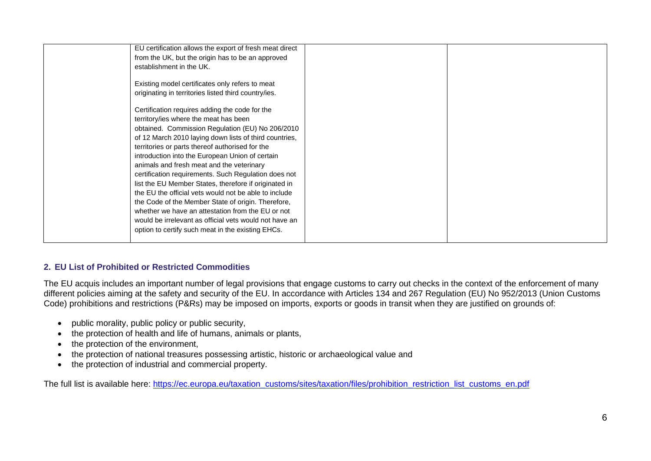| EU certification allows the export of fresh meat direct<br>from the UK, but the origin has to be an approved<br>establishment in the UK.<br>Existing model certificates only refers to meat<br>originating in territories listed third country/ies.<br>Certification requires adding the code for the<br>territory/ies where the meat has been<br>obtained. Commission Regulation (EU) No 206/2010<br>of 12 March 2010 laying down lists of third countries,<br>territories or parts thereof authorised for the |  |
|-----------------------------------------------------------------------------------------------------------------------------------------------------------------------------------------------------------------------------------------------------------------------------------------------------------------------------------------------------------------------------------------------------------------------------------------------------------------------------------------------------------------|--|
| introduction into the European Union of certain<br>animals and fresh meat and the veterinary<br>certification requirements. Such Regulation does not<br>list the EU Member States, therefore if originated in<br>the EU the official vets would not be able to include<br>the Code of the Member State of origin. Therefore,<br>whether we have an attestation from the EU or not<br>would be irrelevant as official vets would not have an<br>option to certify such meat in the existing EHCs.                |  |

#### **2. EU List of Prohibited or Restricted Commodities**

The EU acquis includes an important number of legal provisions that engage customs to carry out checks in the context of the enforcement of many different policies aiming at the safety and security of the EU. In accordance with Articles 134 and 267 Regulation (EU) No 952/2013 (Union Customs Code) prohibitions and restrictions (P&Rs) may be imposed on imports, exports or goods in transit when they are justified on grounds of:

- public morality, public policy or public security,
- the protection of health and life of humans, animals or plants,
- the protection of the environment.
- the protection of national treasures possessing artistic, historic or archaeological value and
- the protection of industrial and commercial property.

The full list is available here: [https://ec.europa.eu/taxation\\_customs/sites/taxation/files/prohibition\\_restriction\\_list\\_customs\\_en.pdf](https://ec.europa.eu/taxation_customs/sites/taxation/files/prohibition_restriction_list_customs_en.pdf)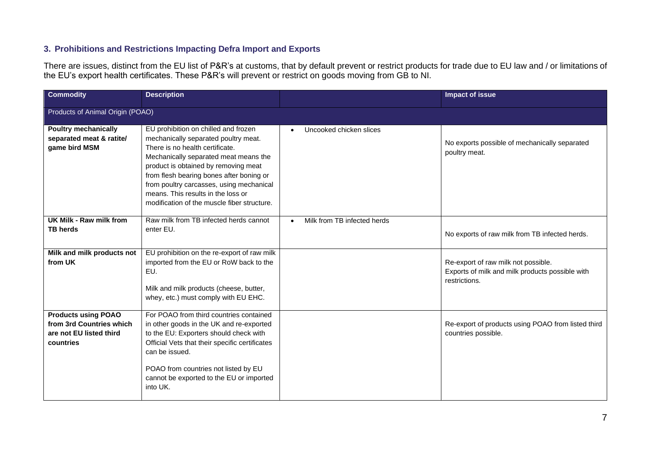### **3. Prohibitions and Restrictions Impacting Defra Import and Exports**

There are issues, distinct from the EU list of P&R's at customs, that by default prevent or restrict products for trade due to EU law and / or limitations of the EU's export health certificates. These P&R's will prevent or restrict on goods moving from GB to NI.

| <b>Commodity</b>                                                                               | <b>Description</b>                                                                                                                                                                                                                                                                                                                                                            |                                          | <b>Impact of issue</b>                                                                                  |  |  |
|------------------------------------------------------------------------------------------------|-------------------------------------------------------------------------------------------------------------------------------------------------------------------------------------------------------------------------------------------------------------------------------------------------------------------------------------------------------------------------------|------------------------------------------|---------------------------------------------------------------------------------------------------------|--|--|
|                                                                                                | Products of Animal Origin (POAO)                                                                                                                                                                                                                                                                                                                                              |                                          |                                                                                                         |  |  |
| <b>Poultry mechanically</b><br>separated meat & ratite/<br>game bird MSM                       | EU prohibition on chilled and frozen<br>mechanically separated poultry meat.<br>There is no health certificate.<br>Mechanically separated meat means the<br>product is obtained by removing meat<br>from flesh bearing bones after boning or<br>from poultry carcasses, using mechanical<br>means. This results in the loss or<br>modification of the muscle fiber structure. | Uncooked chicken slices                  | No exports possible of mechanically separated<br>poultry meat.                                          |  |  |
| UK Milk - Raw milk from<br><b>TB herds</b>                                                     | Raw milk from TB infected herds cannot<br>enter EU.                                                                                                                                                                                                                                                                                                                           | Milk from TB infected herds<br>$\bullet$ | No exports of raw milk from TB infected herds.                                                          |  |  |
| Milk and milk products not<br>from UK                                                          | EU prohibition on the re-export of raw milk<br>imported from the EU or RoW back to the<br>EU.<br>Milk and milk products (cheese, butter,<br>whey, etc.) must comply with EU EHC.                                                                                                                                                                                              |                                          | Re-export of raw milk not possible.<br>Exports of milk and milk products possible with<br>restrictions. |  |  |
| <b>Products using POAO</b><br>from 3rd Countries which<br>are not EU listed third<br>countries | For POAO from third countries contained<br>in other goods in the UK and re-exported<br>to the EU: Exporters should check with<br>Official Vets that their specific certificates<br>can be issued.<br>POAO from countries not listed by EU<br>cannot be exported to the EU or imported<br>into UK.                                                                             |                                          | Re-export of products using POAO from listed third<br>countries possible.                               |  |  |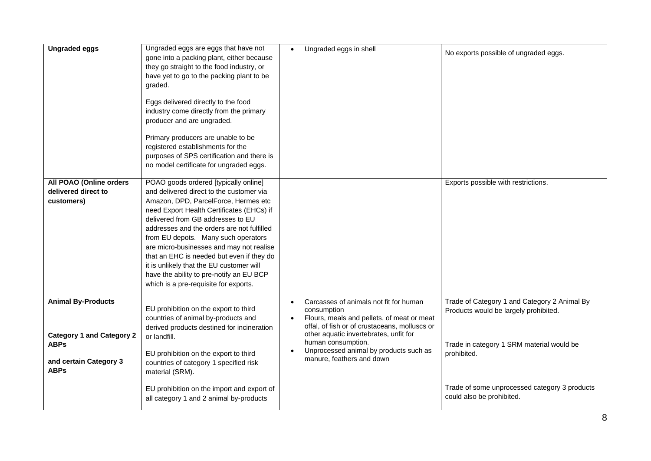| <b>Ungraded eggs</b>                                                                                                  | Ungraded eggs are eggs that have not<br>gone into a packing plant, either because<br>they go straight to the food industry, or<br>have yet to go to the packing plant to be<br>graded.<br>Eggs delivered directly to the food<br>industry come directly from the primary<br>producer and are ungraded.<br>Primary producers are unable to be<br>registered establishments for the<br>purposes of SPS certification and there is<br>no model certificate for ungraded eggs.                                                 | Ungraded eggs in shell<br>$\bullet$                                                                                                                                                                                                                                                                      | No exports possible of ungraded eggs.                                                                                                             |
|-----------------------------------------------------------------------------------------------------------------------|----------------------------------------------------------------------------------------------------------------------------------------------------------------------------------------------------------------------------------------------------------------------------------------------------------------------------------------------------------------------------------------------------------------------------------------------------------------------------------------------------------------------------|----------------------------------------------------------------------------------------------------------------------------------------------------------------------------------------------------------------------------------------------------------------------------------------------------------|---------------------------------------------------------------------------------------------------------------------------------------------------|
| All POAO (Online orders<br>delivered direct to<br>customers)                                                          | POAO goods ordered [typically online]<br>and delivered direct to the customer via<br>Amazon, DPD, ParcelForce, Hermes etc<br>need Export Health Certificates (EHCs) if<br>delivered from GB addresses to EU<br>addresses and the orders are not fulfilled<br>from EU depots. Many such operators<br>are micro-businesses and may not realise<br>that an EHC is needed but even if they do<br>it is unlikely that the EU customer will<br>have the ability to pre-notify an EU BCP<br>which is a pre-requisite for exports. |                                                                                                                                                                                                                                                                                                          | Exports possible with restrictions.                                                                                                               |
| <b>Animal By-Products</b><br><b>Category 1 and Category 2</b><br><b>ABPs</b><br>and certain Category 3<br><b>ABPs</b> | EU prohibition on the export to third<br>countries of animal by-products and<br>derived products destined for incineration<br>or landfill.<br>EU prohibition on the export to third<br>countries of category 1 specified risk<br>material (SRM).                                                                                                                                                                                                                                                                           | Carcasses of animals not fit for human<br>$\bullet$<br>consumption<br>Flours, meals and pellets, of meat or meat<br>offal, of fish or of crustaceans, molluscs or<br>other aquatic invertebrates, unfit for<br>human consumption.<br>Unprocessed animal by products such as<br>manure, feathers and down | Trade of Category 1 and Category 2 Animal By<br>Products would be largely prohibited.<br>Trade in category 1 SRM material would be<br>prohibited. |
|                                                                                                                       | EU prohibition on the import and export of<br>all category 1 and 2 animal by-products                                                                                                                                                                                                                                                                                                                                                                                                                                      |                                                                                                                                                                                                                                                                                                          | Trade of some unprocessed category 3 products<br>could also be prohibited.                                                                        |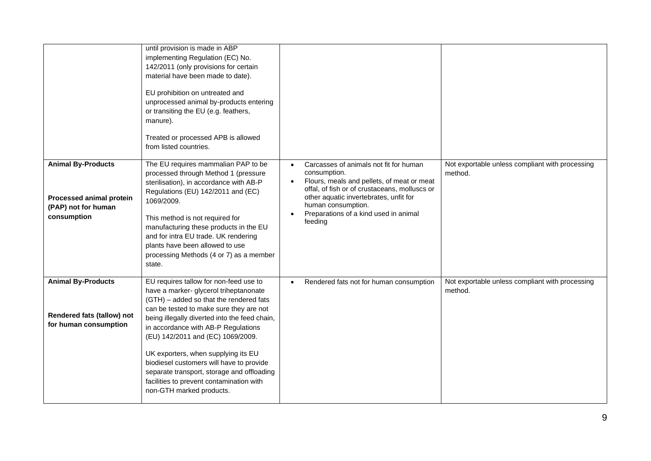|                                                                                             | until provision is made in ABP<br>implementing Regulation (EC) No.<br>142/2011 (only provisions for certain<br>material have been made to date).<br>EU prohibition on untreated and<br>unprocessed animal by-products entering<br>or transiting the EU (e.g. feathers,<br>manure).<br>Treated or processed APB is allowed<br>from listed countries.                                                                                                                                                          |                                                                                                                                                                                                                                                                                        |                                                            |
|---------------------------------------------------------------------------------------------|--------------------------------------------------------------------------------------------------------------------------------------------------------------------------------------------------------------------------------------------------------------------------------------------------------------------------------------------------------------------------------------------------------------------------------------------------------------------------------------------------------------|----------------------------------------------------------------------------------------------------------------------------------------------------------------------------------------------------------------------------------------------------------------------------------------|------------------------------------------------------------|
| <b>Animal By-Products</b><br>Processed animal protein<br>(PAP) not for human<br>consumption | The EU requires mammalian PAP to be<br>processed through Method 1 (pressure<br>sterilisation), in accordance with AB-P<br>Regulations (EU) 142/2011 and (EC)<br>1069/2009.<br>This method is not required for<br>manufacturing these products in the EU<br>and for intra EU trade. UK rendering<br>plants have been allowed to use<br>processing Methods (4 or 7) as a member<br>state.                                                                                                                      | Carcasses of animals not fit for human<br>$\bullet$<br>consumption.<br>Flours, meals and pellets, of meat or meat<br>offal, of fish or of crustaceans, molluscs or<br>other aquatic invertebrates, unfit for<br>human consumption.<br>Preparations of a kind used in animal<br>feeding | Not exportable unless compliant with processing<br>method. |
| <b>Animal By-Products</b><br>Rendered fats (tallow) not<br>for human consumption            | EU requires tallow for non-feed use to<br>have a marker- glycerol triheptanonate<br>(GTH) - added so that the rendered fats<br>can be tested to make sure they are not<br>being illegally diverted into the feed chain,<br>in accordance with AB-P Regulations<br>(EU) 142/2011 and (EC) 1069/2009.<br>UK exporters, when supplying its EU<br>biodiesel customers will have to provide<br>separate transport, storage and offloading<br>facilities to prevent contamination with<br>non-GTH marked products. | Rendered fats not for human consumption                                                                                                                                                                                                                                                | Not exportable unless compliant with processing<br>method. |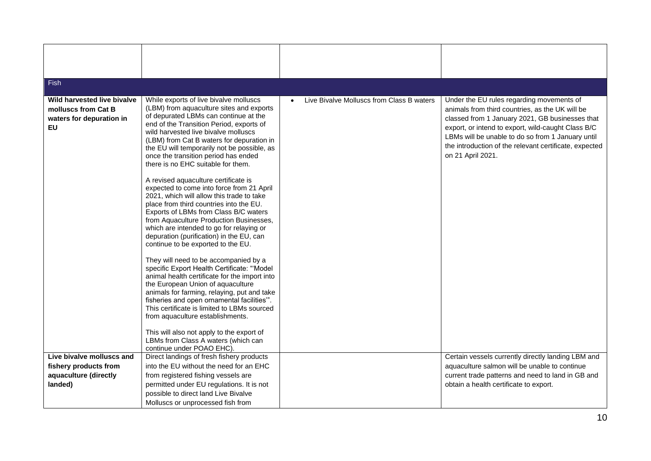| <b>Fish</b>                                                                                 |                                                                                                                                                                                                                                                                                                                                                                                                                                                                                                                                                                                                                                                                                                                                                                                                                                                                                                                                                                                                                                                                                                                                                                                                                                           |                                           |                                                                                                                                                                                                                                                                                                                                           |
|---------------------------------------------------------------------------------------------|-------------------------------------------------------------------------------------------------------------------------------------------------------------------------------------------------------------------------------------------------------------------------------------------------------------------------------------------------------------------------------------------------------------------------------------------------------------------------------------------------------------------------------------------------------------------------------------------------------------------------------------------------------------------------------------------------------------------------------------------------------------------------------------------------------------------------------------------------------------------------------------------------------------------------------------------------------------------------------------------------------------------------------------------------------------------------------------------------------------------------------------------------------------------------------------------------------------------------------------------|-------------------------------------------|-------------------------------------------------------------------------------------------------------------------------------------------------------------------------------------------------------------------------------------------------------------------------------------------------------------------------------------------|
|                                                                                             |                                                                                                                                                                                                                                                                                                                                                                                                                                                                                                                                                                                                                                                                                                                                                                                                                                                                                                                                                                                                                                                                                                                                                                                                                                           |                                           |                                                                                                                                                                                                                                                                                                                                           |
| Wild harvested live bivalve<br>molluscs from Cat B<br>waters for depuration in<br><b>EU</b> | While exports of live bivalve molluscs<br>(LBM) from aquaculture sites and exports<br>of depurated LBMs can continue at the<br>end of the Transition Period, exports of<br>wild harvested live bivalve molluscs<br>(LBM) from Cat B waters for depuration in<br>the EU will temporarily not be possible, as<br>once the transition period has ended<br>there is no EHC suitable for them.<br>A revised aquaculture certificate is<br>expected to come into force from 21 April<br>2021, which will allow this trade to take<br>place from third countries into the EU.<br>Exports of LBMs from Class B/C waters<br>from Aquaculture Production Businesses,<br>which are intended to go for relaying or<br>depuration (purification) in the EU, can<br>continue to be exported to the EU.<br>They will need to be accompanied by a<br>specific Export Health Certificate: "Model<br>animal health certificate for the import into<br>the European Union of aquaculture<br>animals for farming, relaying, put and take<br>fisheries and open ornamental facilities".<br>This certificate is limited to LBMs sourced<br>from aquaculture establishments.<br>This will also not apply to the export of<br>LBMs from Class A waters (which can | Live Bivalve Molluscs from Class B waters | Under the EU rules regarding movements of<br>animals from third countries, as the UK will be<br>classed from 1 January 2021, GB businesses that<br>export, or intend to export, wild-caught Class B/C<br>LBMs will be unable to do so from 1 January until<br>the introduction of the relevant certificate, expected<br>on 21 April 2021. |
| Live bivalve molluscs and                                                                   | continue under POAO EHC).<br>Direct landings of fresh fishery products                                                                                                                                                                                                                                                                                                                                                                                                                                                                                                                                                                                                                                                                                                                                                                                                                                                                                                                                                                                                                                                                                                                                                                    |                                           | Certain vessels currently directly landing LBM and                                                                                                                                                                                                                                                                                        |
| fishery products from                                                                       | into the EU without the need for an EHC                                                                                                                                                                                                                                                                                                                                                                                                                                                                                                                                                                                                                                                                                                                                                                                                                                                                                                                                                                                                                                                                                                                                                                                                   |                                           | aquaculture salmon will be unable to continue                                                                                                                                                                                                                                                                                             |
| aquaculture (directly                                                                       | from registered fishing vessels are                                                                                                                                                                                                                                                                                                                                                                                                                                                                                                                                                                                                                                                                                                                                                                                                                                                                                                                                                                                                                                                                                                                                                                                                       |                                           | current trade patterns and need to land in GB and                                                                                                                                                                                                                                                                                         |
| landed)                                                                                     | permitted under EU regulations. It is not                                                                                                                                                                                                                                                                                                                                                                                                                                                                                                                                                                                                                                                                                                                                                                                                                                                                                                                                                                                                                                                                                                                                                                                                 |                                           | obtain a health certificate to export.                                                                                                                                                                                                                                                                                                    |
|                                                                                             | possible to direct land Live Bivalve                                                                                                                                                                                                                                                                                                                                                                                                                                                                                                                                                                                                                                                                                                                                                                                                                                                                                                                                                                                                                                                                                                                                                                                                      |                                           |                                                                                                                                                                                                                                                                                                                                           |
|                                                                                             | Molluscs or unprocessed fish from                                                                                                                                                                                                                                                                                                                                                                                                                                                                                                                                                                                                                                                                                                                                                                                                                                                                                                                                                                                                                                                                                                                                                                                                         |                                           |                                                                                                                                                                                                                                                                                                                                           |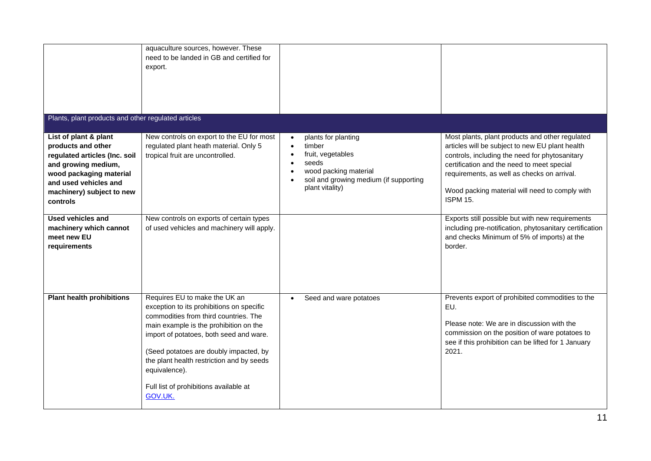|                                                                                                                                                                                                  | aquaculture sources, however. These<br>need to be landed in GB and certified for<br>export.                                                                                                                                                                                                                                                                           |                                                                                                                                                                             |                                                                                                                                                                                                                                                                                                                        |
|--------------------------------------------------------------------------------------------------------------------------------------------------------------------------------------------------|-----------------------------------------------------------------------------------------------------------------------------------------------------------------------------------------------------------------------------------------------------------------------------------------------------------------------------------------------------------------------|-----------------------------------------------------------------------------------------------------------------------------------------------------------------------------|------------------------------------------------------------------------------------------------------------------------------------------------------------------------------------------------------------------------------------------------------------------------------------------------------------------------|
| Plants, plant products and other regulated articles                                                                                                                                              |                                                                                                                                                                                                                                                                                                                                                                       |                                                                                                                                                                             |                                                                                                                                                                                                                                                                                                                        |
| List of plant & plant<br>products and other<br>regulated articles (Inc. soil<br>and growing medium,<br>wood packaging material<br>and used vehicles and<br>machinery) subject to new<br>controls | New controls on export to the EU for most<br>regulated plant heath material. Only 5<br>tropical fruit are uncontrolled.                                                                                                                                                                                                                                               | plants for planting<br>timber<br>$\bullet$<br>fruit, vegetables<br>seeds<br>$\bullet$<br>wood packing material<br>soil and growing medium (if supporting<br>plant vitality) | Most plants, plant products and other regulated<br>articles will be subject to new EU plant health<br>controls, including the need for phytosanitary<br>certification and the need to meet special<br>requirements, as well as checks on arrival.<br>Wood packing material will need to comply with<br><b>ISPM 15.</b> |
| <b>Used vehicles and</b><br>machinery which cannot<br>meet new EU<br>requirements                                                                                                                | New controls on exports of certain types<br>of used vehicles and machinery will apply.                                                                                                                                                                                                                                                                                |                                                                                                                                                                             | Exports still possible but with new requirements<br>including pre-notification, phytosanitary certification<br>and checks Minimum of 5% of imports) at the<br>border.                                                                                                                                                  |
| <b>Plant health prohibitions</b>                                                                                                                                                                 | Requires EU to make the UK an<br>exception to its prohibitions on specific<br>commodities from third countries. The<br>main example is the prohibition on the<br>import of potatoes, both seed and ware.<br>(Seed potatoes are doubly impacted, by<br>the plant health restriction and by seeds<br>equivalence).<br>Full list of prohibitions available at<br>GOV.UK. | Seed and ware potatoes<br>$\bullet$                                                                                                                                         | Prevents export of prohibited commodities to the<br>EU.<br>Please note: We are in discussion with the<br>commission on the position of ware potatoes to<br>see if this prohibition can be lifted for 1 January<br>2021.                                                                                                |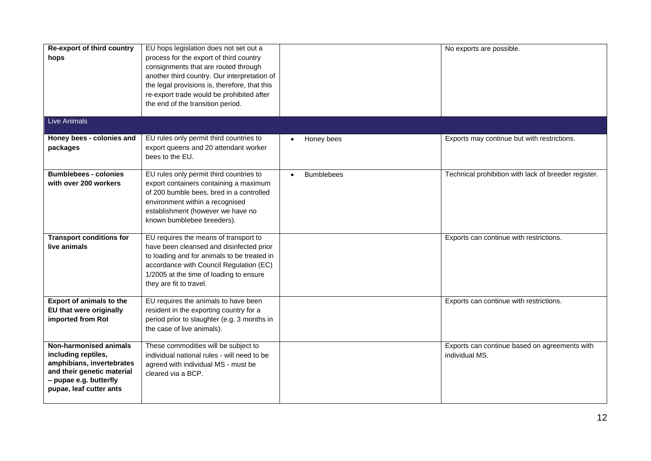| Re-export of third country<br>hops                                                                                                                            | EU hops legislation does not set out a<br>process for the export of third country<br>consignments that are routed through<br>another third country. Our interpretation of<br>the legal provisions is, therefore, that this<br>re-export trade would be prohibited after<br>the end of the transition period. |                   | No exports are possible.                                        |
|---------------------------------------------------------------------------------------------------------------------------------------------------------------|--------------------------------------------------------------------------------------------------------------------------------------------------------------------------------------------------------------------------------------------------------------------------------------------------------------|-------------------|-----------------------------------------------------------------|
| <b>Live Animals</b>                                                                                                                                           |                                                                                                                                                                                                                                                                                                              |                   |                                                                 |
| Honey bees - colonies and<br>packages                                                                                                                         | EU rules only permit third countries to<br>export queens and 20 attendant worker<br>bees to the EU.                                                                                                                                                                                                          | Honey bees        | Exports may continue but with restrictions.                     |
| <b>Bumblebees - colonies</b><br>with over 200 workers                                                                                                         | EU rules only permit third countries to<br>export containers containing a maximum<br>of 200 bumble bees, bred in a controlled<br>environment within a recognised<br>establishment (however we have no<br>known bumblebee breeders).                                                                          | <b>Bumblebees</b> | Technical prohibition with lack of breeder register.            |
| <b>Transport conditions for</b><br>live animals                                                                                                               | EU requires the means of transport to<br>have been cleansed and disinfected prior<br>to loading and for animals to be treated in<br>accordance with Council Regulation (EC)<br>1/2005 at the time of loading to ensure<br>they are fit to travel.                                                            |                   | Exports can continue with restrictions.                         |
| <b>Export of animals to the</b><br>EU that were originally<br>imported from Rol                                                                               | EU requires the animals to have been<br>resident in the exporting country for a<br>period prior to slaughter (e.g. 3 months in<br>the case of live animals).                                                                                                                                                 |                   | Exports can continue with restrictions.                         |
| Non-harmonised animals<br>including reptiles,<br>amphibians, invertebrates<br>and their genetic material<br>- pupae e.g. butterfly<br>pupae, leaf cutter ants | These commodities will be subject to<br>individual national rules - will need to be<br>agreed with individual MS - must be<br>cleared via a BCP.                                                                                                                                                             |                   | Exports can continue based on agreements with<br>individual MS. |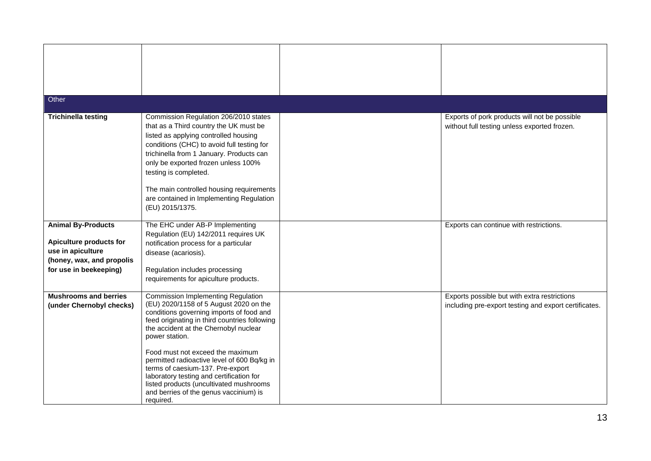| Other                                                                                                                            |                                                                                                                                                                                                                                                                                                                                                                                                                                                                                                           |                                                                                                       |
|----------------------------------------------------------------------------------------------------------------------------------|-----------------------------------------------------------------------------------------------------------------------------------------------------------------------------------------------------------------------------------------------------------------------------------------------------------------------------------------------------------------------------------------------------------------------------------------------------------------------------------------------------------|-------------------------------------------------------------------------------------------------------|
|                                                                                                                                  |                                                                                                                                                                                                                                                                                                                                                                                                                                                                                                           |                                                                                                       |
| <b>Trichinella testing</b>                                                                                                       | Commission Regulation 206/2010 states<br>that as a Third country the UK must be<br>listed as applying controlled housing<br>conditions (CHC) to avoid full testing for<br>trichinella from 1 January. Products can<br>only be exported frozen unless 100%<br>testing is completed.<br>The main controlled housing requirements<br>are contained in Implementing Regulation<br>(EU) 2015/1375.                                                                                                             | Exports of pork products will not be possible<br>without full testing unless exported frozen.         |
| <b>Animal By-Products</b><br>Apiculture products for<br>use in apiculture<br>(honey, wax, and propolis<br>for use in beekeeping) | The EHC under AB-P Implementing<br>Regulation (EU) 142/2011 requires UK<br>notification process for a particular<br>disease (acariosis).<br>Regulation includes processing<br>requirements for apiculture products.                                                                                                                                                                                                                                                                                       | Exports can continue with restrictions.                                                               |
| <b>Mushrooms and berries</b><br>(under Chernobyl checks)                                                                         | Commission Implementing Regulation<br>(EU) 2020/1158 of 5 August 2020 on the<br>conditions governing imports of food and<br>feed originating in third countries following<br>the accident at the Chernobyl nuclear<br>power station.<br>Food must not exceed the maximum<br>permitted radioactive level of 600 Bq/kg in<br>terms of caesium-137. Pre-export<br>laboratory testing and certification for<br>listed products (uncultivated mushrooms<br>and berries of the genus vaccinium) is<br>required. | Exports possible but with extra restrictions<br>including pre-export testing and export certificates. |